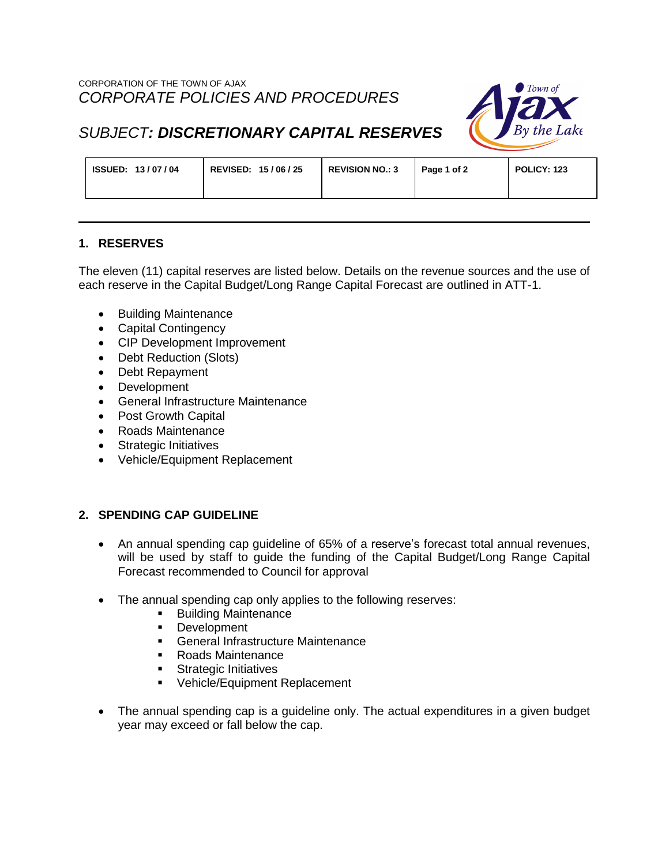

# *SUBJECT: DISCRETIONARY CAPITAL RESERVES*

| ISSUED: 13/07/04<br>REVISED: 15/06/25 | <b>REVISION NO.: 3</b> | Page 1 of 2 | <b>POLICY: 123</b> |
|---------------------------------------|------------------------|-------------|--------------------|
|---------------------------------------|------------------------|-------------|--------------------|

## **1. RESERVES**

The eleven (11) capital reserves are listed below. Details on the revenue sources and the use of each reserve in the Capital Budget/Long Range Capital Forecast are outlined in ATT-1.

- Building Maintenance
- Capital Contingency
- CIP Development Improvement
- Debt Reduction (Slots)
- Debt Repayment
- Development
- General Infrastructure Maintenance
- Post Growth Capital
- Roads Maintenance
- Strategic Initiatives
- Vehicle/Equipment Replacement

## **2. SPENDING CAP GUIDELINE**

- An annual spending cap guideline of 65% of a reserve's forecast total annual revenues, will be used by staff to guide the funding of the Capital Budget/Long Range Capital Forecast recommended to Council for approval
- The annual spending cap only applies to the following reserves:
	- **Building Maintenance**
	- **Development**
	- **General Infrastructure Maintenance**
	- Roads Maintenance
	- **Strategic Initiatives**
	- **•** Vehicle/Equipment Replacement
- The annual spending cap is a guideline only. The actual expenditures in a given budget year may exceed or fall below the cap.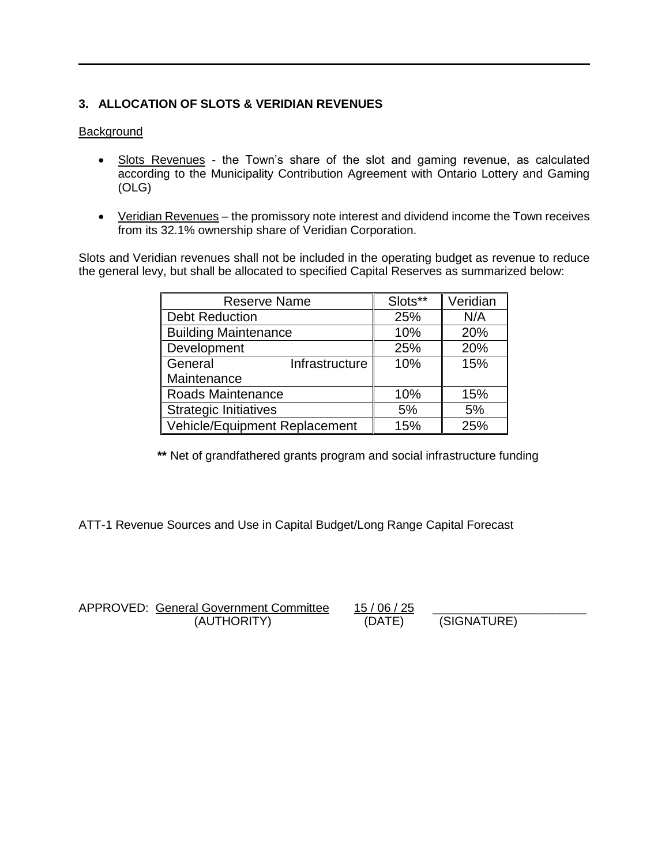## **3. ALLOCATION OF SLOTS & VERIDIAN REVENUES**

#### **Background**

- Slots Revenues the Town's share of the slot and gaming revenue, as calculated according to the Municipality Contribution Agreement with Ontario Lottery and Gaming (OLG)
- Veridian Revenues the promissory note interest and dividend income the Town receives from its 32.1% ownership share of Veridian Corporation.

Slots and Veridian revenues shall not be included in the operating budget as revenue to reduce the general levy, but shall be allocated to specified Capital Reserves as summarized below:

| <b>Reserve Name</b>           | Slots** | Veridian |
|-------------------------------|---------|----------|
| <b>Debt Reduction</b>         | 25%     | N/A      |
| <b>Building Maintenance</b>   | 10%     | 20%      |
| Development                   | 25%     | 20%      |
| General<br>Infrastructure     | 10%     | 15%      |
| Maintenance                   |         |          |
| Roads Maintenance             | 10%     | 15%      |
| <b>Strategic Initiatives</b>  | 5%      | 5%       |
| Vehicle/Equipment Replacement | 15%     | 25%      |

**\*\*** Net of grandfathered grants program and social infrastructure funding

ATT-1 Revenue Sources and Use in Capital Budget/Long Range Capital Forecast

APPROVED: General Government Committee 15 / 06 / 25 (AUTHORITY) (DATE) (SIGNATURE)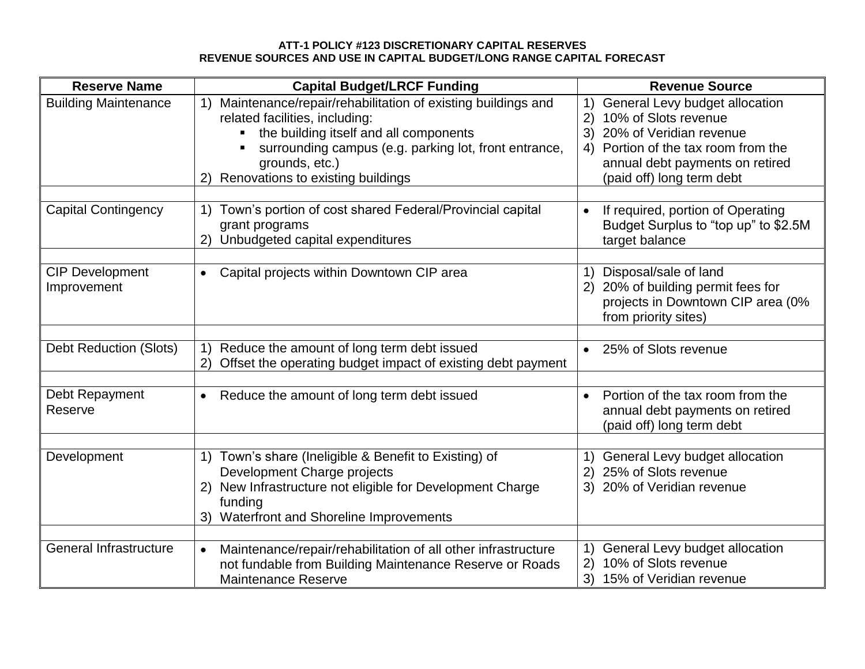### **ATT-1 POLICY #123 DISCRETIONARY CAPITAL RESERVES REVENUE SOURCES AND USE IN CAPITAL BUDGET/LONG RANGE CAPITAL FORECAST**

| <b>Reserve Name</b>                   | <b>Capital Budget/LRCF Funding</b>                                                                                                                                                                                                                            | <b>Revenue Source</b>                                                                                                                                                                                   |
|---------------------------------------|---------------------------------------------------------------------------------------------------------------------------------------------------------------------------------------------------------------------------------------------------------------|---------------------------------------------------------------------------------------------------------------------------------------------------------------------------------------------------------|
| <b>Building Maintenance</b>           | Maintenance/repair/rehabilitation of existing buildings and<br>related facilities, including:<br>the building itself and all components<br>π.<br>surrounding campus (e.g. parking lot, front entrance,<br>grounds, etc.)<br>Renovations to existing buildings | General Levy budget allocation<br>1)<br>10% of Slots revenue<br>2)<br>3) 20% of Veridian revenue<br>4) Portion of the tax room from the<br>annual debt payments on retired<br>(paid off) long term debt |
| <b>Capital Contingency</b>            | 1) Town's portion of cost shared Federal/Provincial capital<br>grant programs<br>Unbudgeted capital expenditures                                                                                                                                              | If required, portion of Operating<br>$\bullet$<br>Budget Surplus to "top up" to \$2.5M<br>target balance                                                                                                |
| <b>CIP Development</b><br>Improvement | Capital projects within Downtown CIP area<br>$\bullet$                                                                                                                                                                                                        | Disposal/sale of land<br>1)<br>2) 20% of building permit fees for<br>projects in Downtown CIP area (0%<br>from priority sites)                                                                          |
| <b>Debt Reduction (Slots)</b>         | Reduce the amount of long term debt issued<br>1)                                                                                                                                                                                                              | • 25% of Slots revenue                                                                                                                                                                                  |
|                                       | Offset the operating budget impact of existing debt payment                                                                                                                                                                                                   |                                                                                                                                                                                                         |
| Debt Repayment<br>Reserve             | Reduce the amount of long term debt issued<br>$\bullet$                                                                                                                                                                                                       | Portion of the tax room from the<br>$\bullet$<br>annual debt payments on retired<br>(paid off) long term debt                                                                                           |
|                                       |                                                                                                                                                                                                                                                               |                                                                                                                                                                                                         |
| Development                           | 1) Town's share (Ineligible & Benefit to Existing) of<br>Development Charge projects<br>2) New Infrastructure not eligible for Development Charge<br>funding<br>3) Waterfront and Shoreline Improvements                                                      | General Levy budget allocation<br>1)<br>2) 25% of Slots revenue<br>3) 20% of Veridian revenue                                                                                                           |
| <b>General Infrastructure</b>         |                                                                                                                                                                                                                                                               | General Levy budget allocation<br>1)                                                                                                                                                                    |
|                                       | Maintenance/repair/rehabilitation of all other infrastructure<br>not fundable from Building Maintenance Reserve or Roads<br><b>Maintenance Reserve</b>                                                                                                        | 10% of Slots revenue<br>(2)<br>3) 15% of Veridian revenue                                                                                                                                               |